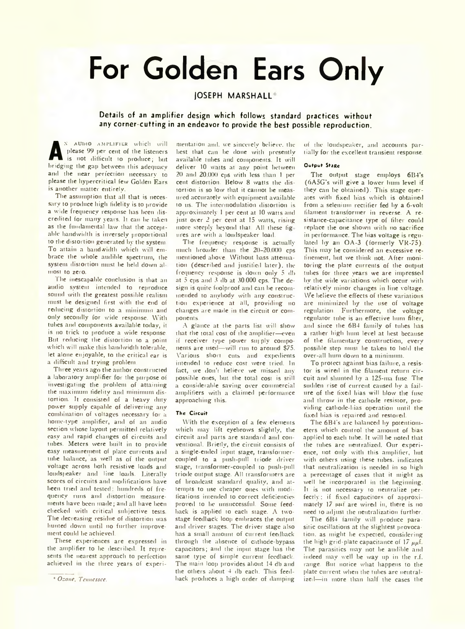# **For Golden Ears Only**

# JOSEPH MARSHALL

## Details of an amplifier design which follows standard practices without any corner-cutting in an endeavor to provide the best possible reproduction.

**A** please 99 per cent of the listeners<br>is not difficult to produce; but<br>bridging the gap between this adequacy n audio amplifier which will please 99 per cent of the listeners is not difficult to produce; but and the near perfection necessary to please the hypercritical few Golden Ears is another matter entirely.

The assumption that all that is necessary to produce high fidelity is to provide a wide frequency response has been discredited for many years. It can be taken as the fundamental law that the acceptable bandwidth is inversely proportional to the distortion generated by the system. To attain a bandwidth which will embrace the whole audible spectrum, the system distortion must be held down almost to zero.

The inescapable conclusion is that an audio system intended to reproduce sound with the greatest possible realism must be designed first with the end of reducing distortion to a minimum and only secondly for wide response. With tubes and components available today, it is no trick to produce a wide response. But reducing the distortion to a point which will make this bandwidth tolerable, let alone enjoyable, to the critical ear is a difficult and trying problem.

Three years ago the author constructed a laboratory amplifier for the purpose of investigating the problem of attaining the maximum fidelity and minimum distortion. It consisted of a heavy duty power supply capable of delivering any combination of voltages necessary for a home-type amplifier, and of an audio section whose layout permitted relatively easy and rapid changes of circuits and tubes. Meters were built in to provide easy measurement of plate currents and tube balance, as well as of the output voltage across both resistive loads and loudspeaker and line loads. Literally scores of circuits and modifications have been tried and tested; hundreds of frequency runs and distortion measurements have been made; and all have been checked with critical subjective tests. The decreasing residue of distortion was hunted down until no further improvement could he achieved.

These experiences are expressed in the amplifier to be described. It represents the nearest approach to perfection achieved in the three years of experi-

mentation and. we sincerely believe, the best that can be done with presently available tubes and components. It will deliver 10 watts at any point between 20 and 20.000 cps with less than 1 per cent distortion. Below 8 watts the distortion is so low that it cannot be measured accurately with equipment available to ns. The intcruiodulation distortion is approximately 1 per cent at 10 watts and just over 2 per cent at 15 watts, rising more steeply beyond that. All these fig ures are with a loudspeaker load.

The frequency response is actually much broader than the 20-20.000 cps mentioned above. Without bass attenuation (described and justified later), the frequency response is down only 5 db at  $5$  cps and  $3$  db at 30.000 cps. The design is quite foolproof and can he recommended to anybody with any construction experience at all, providing no changes are made in the circuit or components.

A glance at the parts list will show that the total cost of the amplifier—even if receiver type power supply components are used—will run to around \$75. Various short cuts and expedients intended to reduce cost were tried. In fact, we don't believe we missed any possible ones, but the total cost is still a considerable saving over commercial amplifiers with a claimed performance approaching this.

### **The Circuit**

With the exception of a few elements which may lift eyebrows slightly, the circuit and parts are standard and conventional. Briefly, the circuit consists of a single-ended input stage, transformercoupled to a push-pull triode driver stage, transformer-coupled to push-pull triode output stage. All transformers are of broadcast standard quality, and attempts to use cheaper ones with modifications intended to correct deficiencies proved to he unsuccessful. Some feedback is applied to each stage. A twostage feedback loop embraces the output and driver stages. The driver stage also has a small amount of current feedback through the absence of cathode-bypass capacitors; and the input stage has the same type of simple current feedback. The main loop provides about 14 db and the others about  $4$  db each. This feedback produces a high order of damping

of the loudspeaker, and accounts partially for the excellent transient response.

### **Output Stage**

The output stage employs 6B4's (6A5G's will give a lower hum level if they can be obtained). This stage operates with fixed bias which is obtained from a selenium rectifier fed by a 6-volt filament transformer in reverse. A resistance-capacitance type of filter could replace the one shown with no sacrifice in performance. The bias voltage is regulated by an OA-3 (formerly VR-75). This may be considered an excessive refinement, but we think not. After monitoring the plate currents of the output tubes for three years we are impressed by the wide variations which occur with relatively minor changes in line voltage. We believe the effects of these variations are minimized by the use of voltage regulation. Furthermore, the voltage regulator tube is an effective hum filter, and since the 6B4 family of tubes has a rather high hum level at best because of the filamentary construction, every possible step must be taken to hold the over-all hum down to a minimum.

To protect against bias failure, a resistor is wired in the filament return circuit and shunted by a 125-ma fuse. The sudden rise of current caused by a failure of the fixed bias will blow the fuse and throw in the cathode resistor, providing cathode-bias operation until the fixed bias is repaired and restored.

The 6B4's arc balanced by potentiometers which control the amount of bias applied to each tube. It will be noted that the tubes are neutralized. Our experience, not only with this amplifier, but with others using these tubes, indicates that neutralization is needed in so high a percentage of cases that it might as well he incorporated in the beginning. It is not necessary to neutralize perfectly: if fixed capacitors of approximately 17 mit are wired in, there is no need to adjust the neutralization further.

The 6B4 family will produce parasitic oscillations at the slightest provocation. as might be expected, considering the high grid-plate capacitance of  $17 \mu \text{m} \text{f}$ . The parasitics may not be audible and indeed may well be way up in the r.f. range. But notice what happens to the plate current when the tubes are neutralized—in more than half the cases the

<sup>\*</sup> *Ozone, Tennessee.*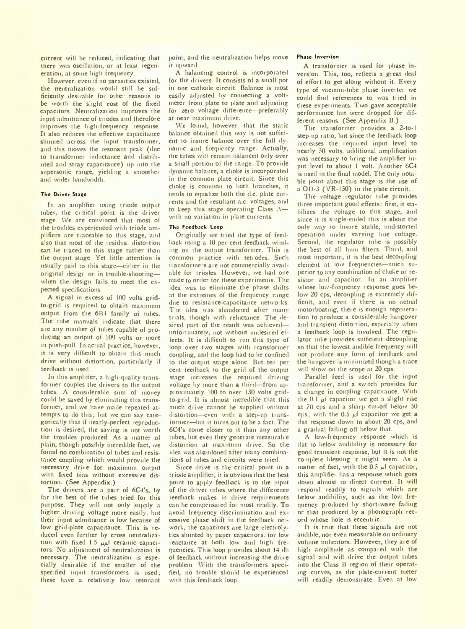current will be reduced, indicating that there was oscillation, or at least regeneration, at some high frequency.

However, even if no parasitics existed, the neutralization would still be sufficiently desirable for other reasons to be worth the slight cost of the fixed capacitors. Neutralization improves the input admittance of triodes and therefore improves the high-frequency response. It also reduces the effective capacitance shunted across the input transformer, and this moves the resonant peak (due to transformer inductance and distributed and stray capacitance) up into the supersonic range, yielding a smoother and wider bandwidth.

#### **The Driver Stage**

In an amplifier using triode output tubes, the critical point is the driver stage. We are convinced that most of ihe troubles experienced with triode amplifiers are traceable to this stage, and also that most of the residual distortion can be tiaced to this stage rather than the output stage. Yet little attention is usually paid to this stage—eidier in the original design or in trouble-shooting when the design fails to meet the expected specifications.

A signal in excess of 100 volts gridto-grid is required to obtain maximum output from the 6B4 family of tubes. The tube manuals indicate that there are any number of tubes capable of producing an output of 100 volts or more in push pull. In actual practice, however, it is very difficult to obtain this much drive without distortion, particularly if feedback is used.

In this ampliner, a high-quality transformer couples the drivers to the output tubes. A considerable sum of money could be saved by eliminating this transformer, and we have made repeated attempts to do this; but we can sav categorically that if nearly perfect reproduction is desired, the saving is not worth the troubles produced. As a matter of plain, though possibly incredible fact, we found no combination of tubes and resistance coupling which would provide the necessary drive for maximum output with fixed bias without excessive distortion. (See Appendix.)

The drivers are a pair of 6C4's, by far the best of the tubes tried for this purpose. They will not Only supply a higher driving voltage more easily, but their input admittance is low because of low grid-plate capacitance. This is reduced even further by cross neutralization with fixed 1.5  $\mu\mu$ f ceramic capacitors. No adjustment of neutralization is necessary. The neutralization is especially desirable if the smaller of the specified input transformers is used; these have a relatively low resonant point, and the neutralization helps move :t upward.

A balancing control is incorporated for the drivers. It consists of a small pot in one cathode circuit. Balance is most easily adjusted by connecting a voltmeter from plate to plate and adjusting for zero voltage difference—preferably at near maximum drive.

We found however, that the static balance obtained this way is not sufficient to insure balance over the full dynamic and frequency range. Actually, the tubes will remain balanced only over a small portion of the range. To provide dynamic balance, a choke is incorporated in the common plate circuit. Since this choke is common to both branches, it tends to equalize both the d.c. plate cur rents and the resultant a.c. voltages, and to keep this stage operating Class  $\sim$ with no variation in plate currents.

#### **The Feedback Loop**

Originally vve tried the type of feedback using a 10 per cent feedback winding on the output transformer. This is common practice with tetrodes. Such transformers are not commercially available for triodes. However, we bad one made to order for these experiments. The idea was to eliminate the phase shifts at the extremes of the frequency range due to resistance-capacitance networks. The idea was abandoned after many trials, though with reluctance. The desired part of the result was achieved unfortunately, not without undesired effects. It is difficult to run this type of loop over two stages with transformer coupling, and the loop had to he confined to the output stage alone. But ten per cent feedback to the grid of the output stage increases the required driving voltage by more than a third—from approximately 100 to over 130 volts gridto-grid. It is almost incredible that this much drive cannot he supplied without distortion—even with a step-up transformer—but it turns out to be a fact. The 6C4's come closer to it than any other tubes, but even they generate measurable distortion at maximum drive. So the idea was abandoned after many combinations of tubes and circuits were tried.

Since drive is the critical point in a triode amplifier, it is obvious that the best point to apply feedback is to the input of tbe driver tubes where the difference feedback makes in drive requirements can be compensated for most readily. To avoid frequency discrimination and ex cessive phase shift in the feedback network, the capacitors are large clectrolv tics shunted by paper capacitors, for low reactance at both low and high frequencies. This loop provides about 14 db of feedback without increasing the drive problem. \\ ith the transformers specified, no trouble should be experienced with this feedback loop.

## **Phase Inversion**

A transformer is used for phase in version. This, too, reflects a great deal of effort to get along without it Every type of vacuum-tube phase inverter we could find references to was tried in these experiments. Two gave acceptable performance but were dropped for different reasons. (See Appendix B.)

The transformer provides a 2-to-l step-up ratio, but since the feedback loop increases the required input level to nearly 50 volts, additional amplification was necessary to bring the amplifier input level to about 1 volt. Another 6C4 is used in the final model. The only notable point about this stage is the use of a OD-3 (VR-150) in the plate circuit.

The voltage regulator tube provides three important good effects: first, it stabilizes the voltage to this stage, and since it is single-ended this is about the only way to insure stable, undistorted operation under varying line voltage. Second, the regulator tube is possibly the best of all hum filters. Third, and most important, it is the best decoupling element at low frequencies—much superior to any combination of choke or resistor and capacitor. In an amplifier whose low-frequency response goes below 20 cps, decoupling is extremely difficult, anil even if there is no actual motorboating, there is enough regeneration to produce a considerable hangover and transient distortion, especially when a feedback loop is involved. The regulator tube provides sufficient decoupling so that the lowest audible frequency will not produce any form of feedback and the hangover is minimized though a trace will show on the scope at 20 cps.

Parallel feed is used for the input transformer, and a switch provides for a change in coupling capacitance. With the  $0.1 \mu i$  capacitor we get a slight rise at 70 cps and a sharp cut off below 50 cps; with the  $0.5 \mu f$  capacitor we get a tlat response down to about 20 cps, and a gradual falling off below that.

A low-frequency response which is flat to below audibility is necessary for good transient response, but it is not the complete blessing it might seem. As a matter of fact, with the  $0.5 \mu f$  capacitor, this amplifier has a response which goes down almost to direct current. It will respond readily to signals which are below audibility, such as the low frequency produced by short-wave fading or that produced by a phonograph record whose hole is eccentric.

It is true that these signals are not audible, nor even measurable on ordinary volume indicators. However, they are of high amplitude as compared with the signal and will drive the output tubes into the Class B region of their operating curves, as the plate-current meter will readily demonstrate. Even at low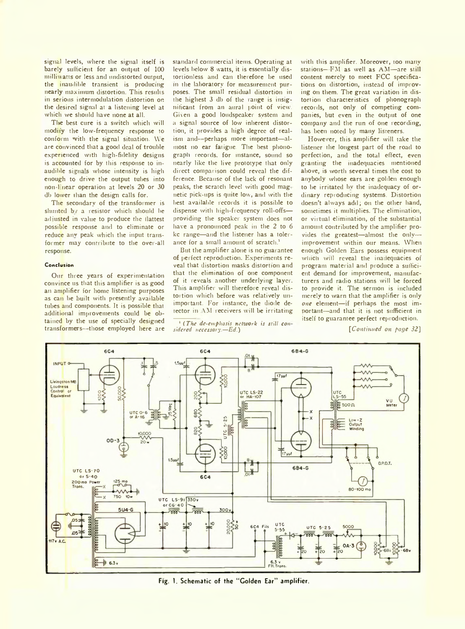signal levels, where the signal itself is barely sufficient for an output of 100 milliwatts or less and undistorted output, the inaudible transient is producing nearly maximum distortion. This results in serious intermodulation distortion on the desired signal at a listening level at which we should have none at all.

The best cure is a switch which will modity the low-frequency response to conform with the signal situation. We are convinced that a good deal of trouble experienced with high-fidelity designs is accounted for by this response to inaudible signals whose intensity is high enough to drive the output tubes into non-linear operation at levels 20 or 30 db lower than the design calls for.

The secondary of the transformer is shunted b<sub>/</sub> a resistor which should be adjusted in value to produce the flattest possible response and to eliminate or reduce any peak which the input transformer may contribute to the over-all response.

### **Conclusion**

Our three years of experimentation convince us that this amplifier is as good an amplifier for home listening purposes as can be built with presently available tubes and components. It is possible that additional improvements could be obtained by the use of specially designed transformers--those employed here are

standard commercial items. Operating at levels below 8 watts, it is essentially distortionless and can therefore be used in the laboratory for measurement purposes. The small residual distortion in the highest 3 db of the range is insignificant from an aural point of view. Given a good loudspeaker system and a signal source of low inherent distortion, it provides a high degree of realism and--perhaps more important—almost no ear fatigue. The best phonograph records, for instance, sound so nearly like the live prototype that only direct comparison could reveal the difference. Because of the lack of resonant peaks, the scratch level with good mag netic pick-ups is quite low, and with the best available records it is possible to dispense with high-frequency roll-offs providing the speaker system does not have a pronounced peak in the 2 to 6 kc range—and the listener has a tolerance for a small amount of scratch.'

But the amplifier alone is no guarantee of perfect reproduction. Experiments reveal that distortion masks distortion and that the elimination of one component of it reveals another underlying layer. This amplifier will therefore reveal distortion which before was relatively unimportant. For instance, the diode detector in AM receivers will be irritating

1 *(The de-emphasis network is still con sidcred necessary.*—*Ed.)*

with this amplifier. Moreover, too many stations—-FM as well as AM—are still content merely to meet FCC specifications on distortion, instead of improving on them. The great variation in distortion characteristics of phonograph records, not only of competing companies, but even in the output of one company and the run of one recording, has been noted by many listeners.

However, this amplifier will take the listener the longest part of the road to perfection, and the total effect, even granting the inadequacies mentioned above, is worth several times the cost to anybody whose ears are golden enough to be irritated bv the inadequacy of ordinary reproducing systems. Distortion doesn't always add; on the other hand, sometimes it multiplies. The elimination, or virtual elimination, of the substantial amount contributed by the amplifier provides the greatest-almost the onlyimprovement within our means. When enough Golden Ears possess equipment which will reveal the inadequacies of program material and produce a sufficient demand for improvement, manufacturers and radio stations will be forced to provide it. The sermon is included merely to warn that the amplifier is only *one* element—if perhaps the most important—and that it is not sufficient in itself to guarantee perfect reproduction.

*[Continued on page 32]*



**Fig. 1. Schematic of the "Golden Ear" amplifier.**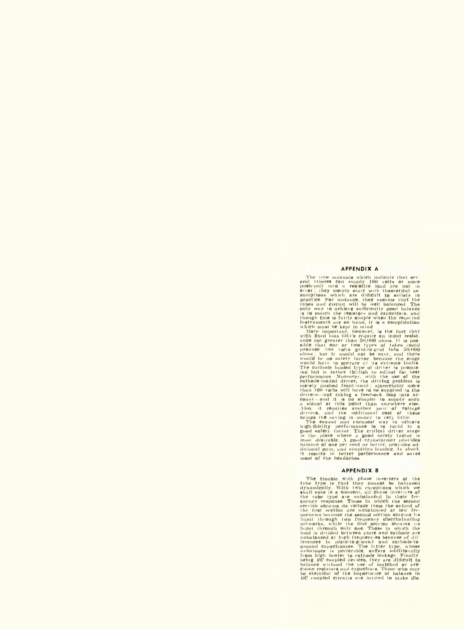#### **APPENDIX A**

The rule manuals which indicate that several relations which indicate that several rivious and eigensity loop visible rot in pure<br>performance error : they merely start with theoretical assumptions which are difficult to s

#### **A PPEN D IX B**

The trouble with phase investigate and the system of the true true true of the dimensional with two exceptions which we<br>shall note in a nonnent, all phase invertices of all<br>investigate in the transformation and phase inve